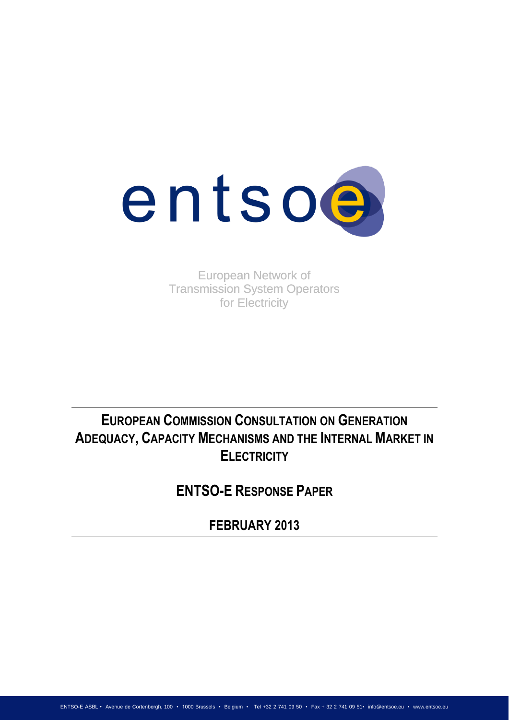

European Network of Transmission System Operators for Electricity

EUROPEAN COMMISSION CONSULTATION ON GENERATION<br>
TRE INTERNAL MARKI<br>
ELECTRICITY<br>
ENTSO-E RESPONSE PAPER<br>
FEBRUARY 2013<br>
Anglis Communicate Communication<br>
Anglis (Source Agric 2013)<br>
Anglis (Source Agric 2013)<br>
Anglis (Sour **ADEQUACY, CAPACITY MECHANISMS AND THE INTERNAL MARKET IN ELECTRICITY**

**ENTSO-E RESPONSE PAPER**

**FEBRUARY 2013**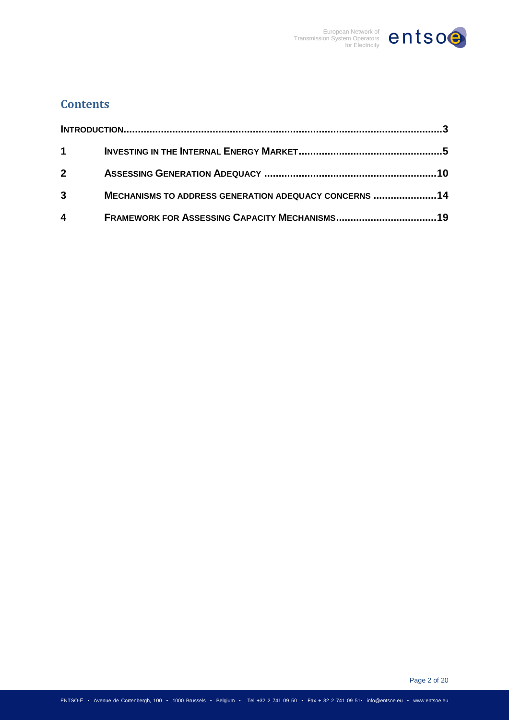

# **Contents**

| $1 \quad \blacksquare$ |                                                       |  |
|------------------------|-------------------------------------------------------|--|
| $2^{\circ}$            |                                                       |  |
| $\mathbf{3}$           | MECHANISMS TO ADDRESS GENERATION ADEQUACY CONCERNS 14 |  |
| $\overline{4}$         |                                                       |  |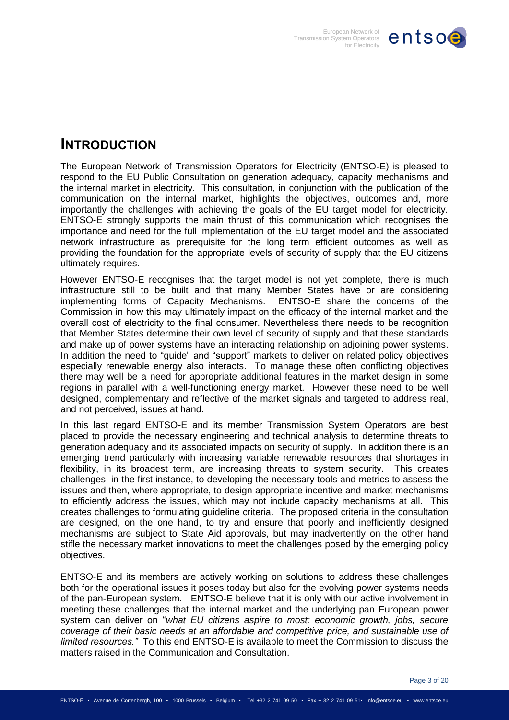

# <span id="page-2-0"></span>**INTRODUCTION**

The European Network of Transmission Operators for Electricity (ENTSO-E) is pleased to respond to the EU Public Consultation on generation adequacy, capacity mechanisms and the internal market in electricity. This consultation, in conjunction with the publication of the communication on the internal market, highlights the objectives, outcomes and, more importantly the challenges with achieving the goals of the EU target model for electricity. ENTSO-E strongly supports the main thrust of this communication which recognises the importance and need for the full implementation of the EU target model and the associated network infrastructure as prerequisite for the long term efficient outcomes as well as providing the foundation for the appropriate levels of security of supply that the EU citizens ultimately requires.

However ENTSO-E recognises that the target model is not yet complete, there is much infrastructure still to be built and that many Member States have or are considering implementing forms of Capacity Mechanisms. ENTSO-E share the concerns of the Commission in how this may ultimately impact on the efficacy of the internal market and the overall cost of electricity to the final consumer. Nevertheless there needs to be recognition that Member States determine their own level of security of supply and that these standards and make up of power systems have an interacting relationship on adjoining power systems. In addition the need to "guide" and "support" markets to deliver on related policy objectives especially renewable energy also interacts. To manage these often conflicting objectives there may well be a need for appropriate additional features in the market design in some regions in parallel with a well-functioning energy market. However these need to be well designed, complementary and reflective of the market signals and targeted to address real, and not perceived, issues at hand.

In this last regard ENTSO-E and its member Transmission System Operators are best placed to provide the necessary engineering and technical analysis to determine threats to generation adequacy and its associated impacts on security of supply. In addition there is an emerging trend particularly with increasing variable renewable resources that shortages in flexibility, in its broadest term, are increasing threats to system security. This creates challenges, in the first instance, to developing the necessary tools and metrics to assess the issues and then, where appropriate, to design appropriate incentive and market mechanisms to efficiently address the issues, which may not include capacity mechanisms at all. This creates challenges to formulating guideline criteria. The proposed criteria in the consultation are designed, on the one hand, to try and ensure that poorly and inefficiently designed mechanisms are subject to State Aid approvals, but may inadvertently on the other hand stifle the necessary market innovations to meet the challenges posed by the emerging policy objectives.

ENTSO-E and its members are actively working on solutions to address these challenges both for the operational issues it poses today but also for the evolving power systems needs of the pan-European system. ENTSO-E believe that it is only with our active involvement in meeting these challenges that the internal market and the underlying pan European power system can deliver on "*what EU citizens aspire to most: economic growth, jobs, secure coverage of their basic needs at an affordable and competitive price, and sustainable use of limited resources."* To this end ENTSO-E is available to meet the Commission to discuss the matters raised in the Communication and Consultation.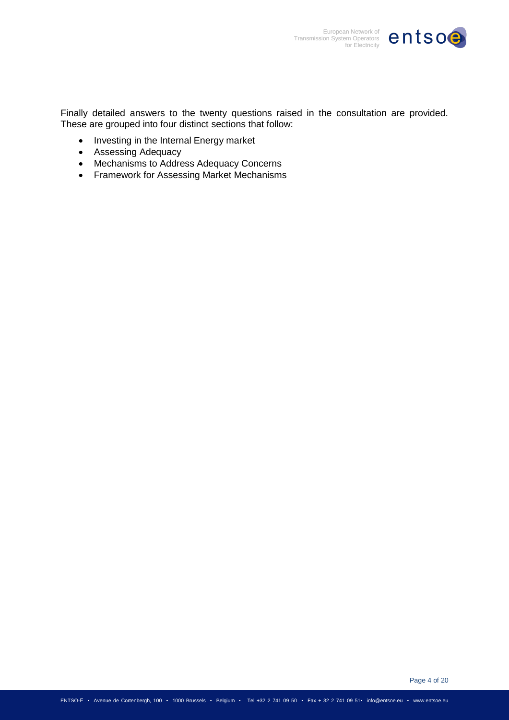

Finally detailed answers to the twenty questions raised in the consultation are provided. These are grouped into four distinct sections that follow:

- Investing in the Internal Energy market
- Assessing Adequacy
- Mechanisms to Address Adequacy Concerns
- Framework for Assessing Market Mechanisms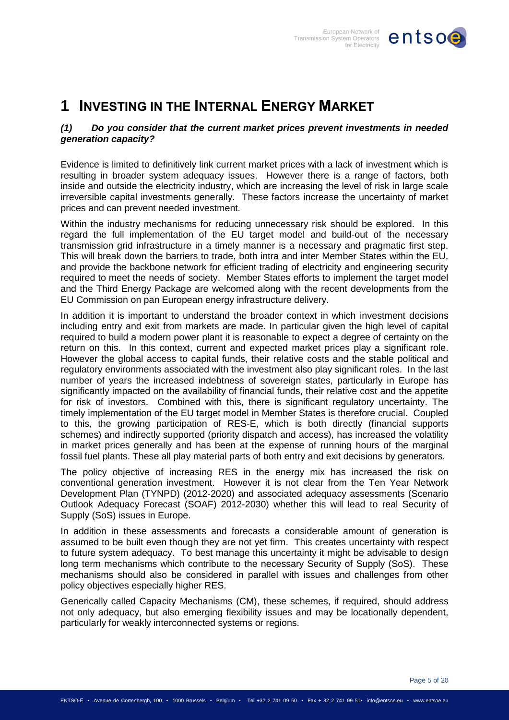

# <span id="page-4-0"></span>**1 INVESTING IN THE INTERNAL ENERGY MARKET**

# *(1) Do you consider that the current market prices prevent investments in needed generation capacity?*

Evidence is limited to definitively link current market prices with a lack of investment which is resulting in broader system adequacy issues. However there is a range of factors, both inside and outside the electricity industry, which are increasing the level of risk in large scale irreversible capital investments generally. These factors increase the uncertainty of market prices and can prevent needed investment.

Within the industry mechanisms for reducing unnecessary risk should be explored. In this regard the full implementation of the EU target model and build-out of the necessary transmission grid infrastructure in a timely manner is a necessary and pragmatic first step. This will break down the barriers to trade, both intra and inter Member States within the EU, and provide the backbone network for efficient trading of electricity and engineering security required to meet the needs of society. Member States efforts to implement the target model and the Third Energy Package are welcomed along with the recent developments from the EU Commission on pan European energy infrastructure delivery.

In addition it is important to understand the broader context in which investment decisions including entry and exit from markets are made. In particular given the high level of capital required to build a modern power plant it is reasonable to expect a degree of certainty on the return on this. In this context, current and expected market prices play a significant role. However the global access to capital funds, their relative costs and the stable political and regulatory environments associated with the investment also play significant roles. In the last number of years the increased indebtness of sovereign states, particularly in Europe has significantly impacted on the availability of financial funds, their relative cost and the appetite for risk of investors. Combined with this, there is significant regulatory uncertainty. The timely implementation of the EU target model in Member States is therefore crucial. Coupled to this, the growing participation of RES-E, which is both directly (financial supports schemes) and indirectly supported (priority dispatch and access), has increased the volatility in market prices generally and has been at the expense of running hours of the marginal fossil fuel plants. These all play material parts of both entry and exit decisions by generators.

The policy objective of increasing RES in the energy mix has increased the risk on conventional generation investment. However it is not clear from the Ten Year Network Development Plan (TYNPD) (2012-2020) and associated adequacy assessments (Scenario Outlook Adequacy Forecast (SOAF) 2012-2030) whether this will lead to real Security of Supply (SoS) issues in Europe.

In addition in these assessments and forecasts a considerable amount of generation is assumed to be built even though they are not yet firm. This creates uncertainty with respect to future system adequacy. To best manage this uncertainty it might be advisable to design long term mechanisms which contribute to the necessary Security of Supply (SoS). These mechanisms should also be considered in parallel with issues and challenges from other policy objectives especially higher RES.

Generically called Capacity Mechanisms (CM), these schemes, if required, should address not only adequacy, but also emerging flexibility issues and may be locationally dependent, particularly for weakly interconnected systems or regions.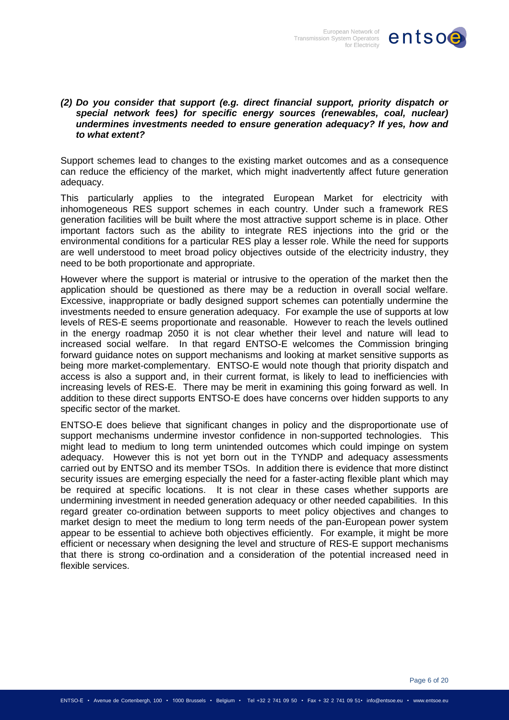

#### *(2) Do you consider that support (e.g. direct financial support, priority dispatch or special network fees) for specific energy sources (renewables, coal, nuclear) undermines investments needed to ensure generation adequacy? If yes, how and to what extent?*

Support schemes lead to changes to the existing market outcomes and as a consequence can reduce the efficiency of the market, which might inadvertently affect future generation adequacy.

This particularly applies to the integrated European Market for electricity with inhomogeneous RES support schemes in each country. Under such a framework RES generation facilities will be built where the most attractive support scheme is in place. Other important factors such as the ability to integrate RES injections into the grid or the environmental conditions for a particular RES play a lesser role. While the need for supports are well understood to meet broad policy objectives outside of the electricity industry, they need to be both proportionate and appropriate.

However where the support is material or intrusive to the operation of the market then the application should be questioned as there may be a reduction in overall social welfare. Excessive, inappropriate or badly designed support schemes can potentially undermine the investments needed to ensure generation adequacy. For example the use of supports at low levels of RES-E seems proportionate and reasonable. However to reach the levels outlined in the energy roadmap 2050 it is not clear whether their level and nature will lead to increased social welfare. In that regard ENTSO-E welcomes the Commission bringing forward guidance notes on support mechanisms and looking at market sensitive supports as being more market-complementary. ENTSO-E would note though that priority dispatch and access is also a support and, in their current format, is likely to lead to inefficiencies with increasing levels of RES-E. There may be merit in examining this going forward as well. In addition to these direct supports ENTSO-E does have concerns over hidden supports to any specific sector of the market.

ENTSO-E does believe that significant changes in policy and the disproportionate use of support mechanisms undermine investor confidence in non-supported technologies. This might lead to medium to long term unintended outcomes which could impinge on system adequacy. However this is not yet born out in the TYNDP and adequacy assessments carried out by ENTSO and its member TSOs. In addition there is evidence that more distinct security issues are emerging especially the need for a faster-acting flexible plant which may be required at specific locations. It is not clear in these cases whether supports are undermining investment in needed generation adequacy or other needed capabilities. In this regard greater co-ordination between supports to meet policy objectives and changes to market design to meet the medium to long term needs of the pan-European power system appear to be essential to achieve both objectives efficiently. For example, it might be more efficient or necessary when designing the level and structure of RES-E support mechanisms that there is strong co-ordination and a consideration of the potential increased need in flexible services.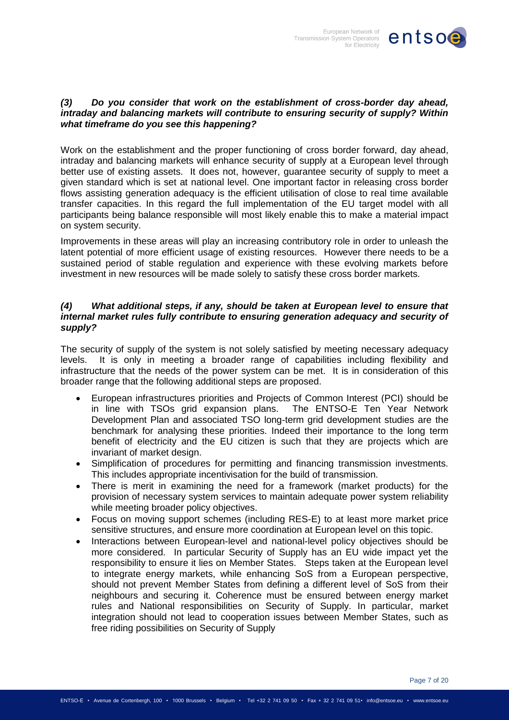

## *(3) Do you consider that work on the establishment of cross-border day ahead, intraday and balancing markets will contribute to ensuring security of supply? Within what timeframe do you see this happening?*

Work on the establishment and the proper functioning of cross border forward, day ahead, intraday and balancing markets will enhance security of supply at a European level through better use of existing assets. It does not, however, guarantee security of supply to meet a given standard which is set at national level. One important factor in releasing cross border flows assisting generation adequacy is the efficient utilisation of close to real time available transfer capacities. In this regard the full implementation of the EU target model with all participants being balance responsible will most likely enable this to make a material impact on system security.

Improvements in these areas will play an increasing contributory role in order to unleash the latent potential of more efficient usage of existing resources. However there needs to be a sustained period of stable regulation and experience with these evolving markets before investment in new resources will be made solely to satisfy these cross border markets.

## *(4) What additional steps, if any, should be taken at European level to ensure that internal market rules fully contribute to ensuring generation adequacy and security of supply?*

The security of supply of the system is not solely satisfied by meeting necessary adequacy levels. It is only in meeting a broader range of capabilities including flexibility and infrastructure that the needs of the power system can be met. It is in consideration of this broader range that the following additional steps are proposed.

- European infrastructures priorities and Projects of Common Interest (PCI) should be in line with TSOs grid expansion plans. The ENTSO-E Ten Year Network Development Plan and associated TSO long-term grid development studies are the benchmark for analysing these priorities. Indeed their importance to the long term benefit of electricity and the EU citizen is such that they are projects which are invariant of market design.
- Simplification of procedures for permitting and financing transmission investments. This includes appropriate incentivisation for the build of transmission.
- There is merit in examining the need for a framework (market products) for the provision of necessary system services to maintain adequate power system reliability while meeting broader policy objectives.
- Focus on moving support schemes (including RES-E) to at least more market price sensitive structures, and ensure more coordination at European level on this topic.
- Interactions between European-level and national-level policy objectives should be more considered. In particular Security of Supply has an EU wide impact yet the responsibility to ensure it lies on Member States. Steps taken at the European level to integrate energy markets, while enhancing SoS from a European perspective, should not prevent Member States from defining a different level of SoS from their neighbours and securing it. Coherence must be ensured between energy market rules and National responsibilities on Security of Supply. In particular, market integration should not lead to cooperation issues between Member States, such as free riding possibilities on Security of Supply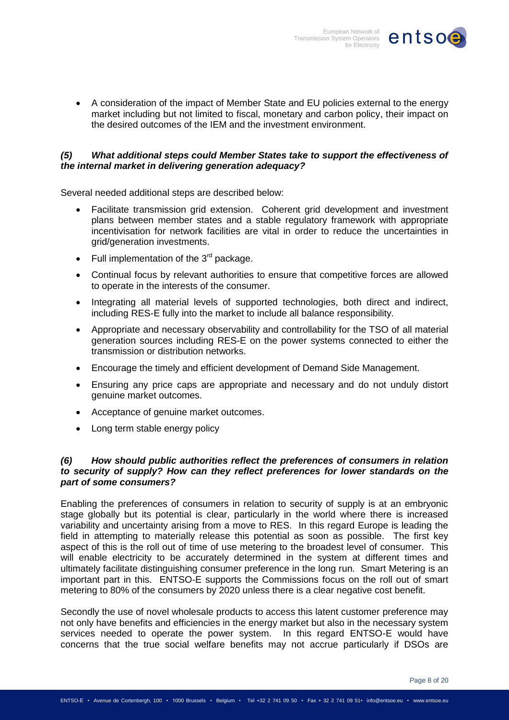

 A consideration of the impact of Member State and EU policies external to the energy market including but not limited to fiscal, monetary and carbon policy, their impact on the desired outcomes of the IEM and the investment environment.

## *(5) What additional steps could Member States take to support the effectiveness of the internal market in delivering generation adequacy?*

Several needed additional steps are described below:

- Facilitate transmission grid extension. Coherent grid development and investment plans between member states and a stable regulatory framework with appropriate incentivisation for network facilities are vital in order to reduce the uncertainties in grid/generation investments.
- Full implementation of the  $3<sup>rd</sup>$  package.
- Continual focus by relevant authorities to ensure that competitive forces are allowed to operate in the interests of the consumer.
- Integrating all material levels of supported technologies, both direct and indirect, including RES-E fully into the market to include all balance responsibility.
- Appropriate and necessary observability and controllability for the TSO of all material generation sources including RES-E on the power systems connected to either the transmission or distribution networks.
- Encourage the timely and efficient development of Demand Side Management.
- Ensuring any price caps are appropriate and necessary and do not unduly distort genuine market outcomes.
- Acceptance of genuine market outcomes.
- Long term stable energy policy

## *(6) How should public authorities reflect the preferences of consumers in relation to security of supply? How can they reflect preferences for lower standards on the part of some consumers?*

Enabling the preferences of consumers in relation to security of supply is at an embryonic stage globally but its potential is clear, particularly in the world where there is increased variability and uncertainty arising from a move to RES. In this regard Europe is leading the field in attempting to materially release this potential as soon as possible. The first key aspect of this is the roll out of time of use metering to the broadest level of consumer. This will enable electricity to be accurately determined in the system at different times and ultimately facilitate distinguishing consumer preference in the long run. Smart Metering is an important part in this. ENTSO-E supports the Commissions focus on the roll out of smart metering to 80% of the consumers by 2020 unless there is a clear negative cost benefit.

Secondly the use of novel wholesale products to access this latent customer preference may not only have benefits and efficiencies in the energy market but also in the necessary system services needed to operate the power system. In this regard ENTSO-E would have concerns that the true social welfare benefits may not accrue particularly if DSOs are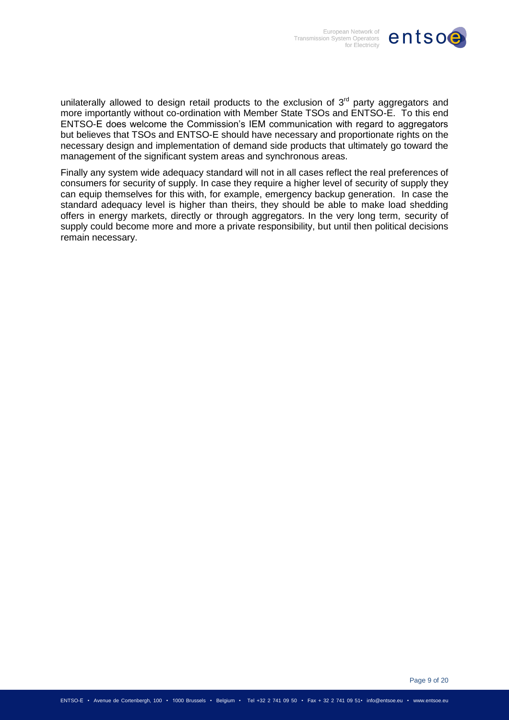

unilaterally allowed to design retail products to the exclusion of  $3<sup>rd</sup>$  party aggregators and more importantly without co-ordination with Member State TSOs and ENTSO-E. To this end ENTSO-E does welcome the Commission's IEM communication with regard to aggregators but believes that TSOs and ENTSO-E should have necessary and proportionate rights on the necessary design and implementation of demand side products that ultimately go toward the management of the significant system areas and synchronous areas.

Finally any system wide adequacy standard will not in all cases reflect the real preferences of consumers for security of supply. In case they require a higher level of security of supply they can equip themselves for this with, for example, emergency backup generation. In case the standard adequacy level is higher than theirs, they should be able to make load shedding offers in energy markets, directly or through aggregators. In the very long term, security of supply could become more and more a private responsibility, but until then political decisions remain necessary.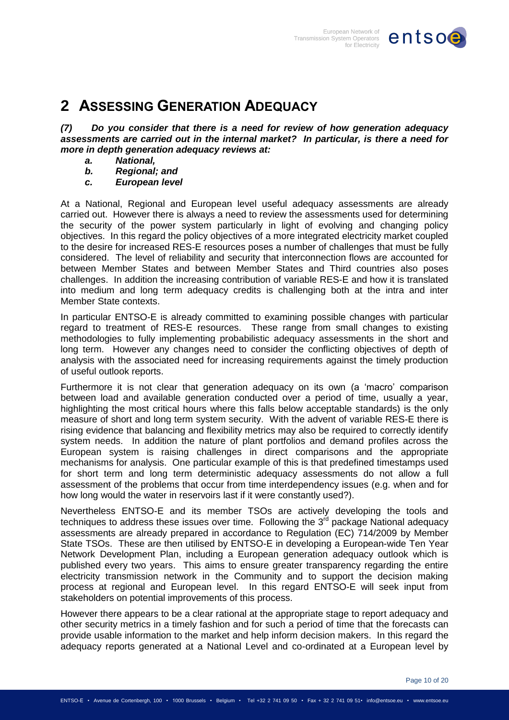

# <span id="page-9-0"></span>**2 ASSESSING GENERATION ADEQUACY**

*(7) Do you consider that there is a need for review of how generation adequacy assessments are carried out in the internal market? In particular, is there a need for more in depth generation adequacy reviews at:*

- *a. National,*
- *b. Regional; and*
- *c. European level*

At a National, Regional and European level useful adequacy assessments are already carried out. However there is always a need to review the assessments used for determining the security of the power system particularly in light of evolving and changing policy objectives. In this regard the policy objectives of a more integrated electricity market coupled to the desire for increased RES-E resources poses a number of challenges that must be fully considered. The level of reliability and security that interconnection flows are accounted for between Member States and between Member States and Third countries also poses challenges. In addition the increasing contribution of variable RES-E and how it is translated into medium and long term adequacy credits is challenging both at the intra and inter Member State contexts.

In particular ENTSO-E is already committed to examining possible changes with particular regard to treatment of RES-E resources. These range from small changes to existing methodologies to fully implementing probabilistic adequacy assessments in the short and long term. However any changes need to consider the conflicting objectives of depth of analysis with the associated need for increasing requirements against the timely production of useful outlook reports.

Furthermore it is not clear that generation adequacy on its own (a 'macro' comparison between load and available generation conducted over a period of time, usually a year, highlighting the most critical hours where this falls below acceptable standards) is the only measure of short and long term system security. With the advent of variable RES-E there is rising evidence that balancing and flexibility metrics may also be required to correctly identify system needs. In addition the nature of plant portfolios and demand profiles across the European system is raising challenges in direct comparisons and the appropriate mechanisms for analysis. One particular example of this is that predefined timestamps used for short term and long term deterministic adequacy assessments do not allow a full assessment of the problems that occur from time interdependency issues (e.g. when and for how long would the water in reservoirs last if it were constantly used?).

Nevertheless ENTSO-E and its member TSOs are actively developing the tools and techniques to address these issues over time. Following the  $3<sup>rd</sup>$  package National adequacy assessments are already prepared in accordance to Regulation (EC) 714/2009 by Member State TSOs. These are then utilised by ENTSO-E in developing a European-wide Ten Year Network Development Plan, including a European generation adequacy outlook which is published every two years. This aims to ensure greater transparency regarding the entire electricity transmission network in the Community and to support the decision making process at regional and European level. In this regard ENTSO-E will seek input from stakeholders on potential improvements of this process.

However there appears to be a clear rational at the appropriate stage to report adequacy and other security metrics in a timely fashion and for such a period of time that the forecasts can provide usable information to the market and help inform decision makers. In this regard the adequacy reports generated at a National Level and co-ordinated at a European level by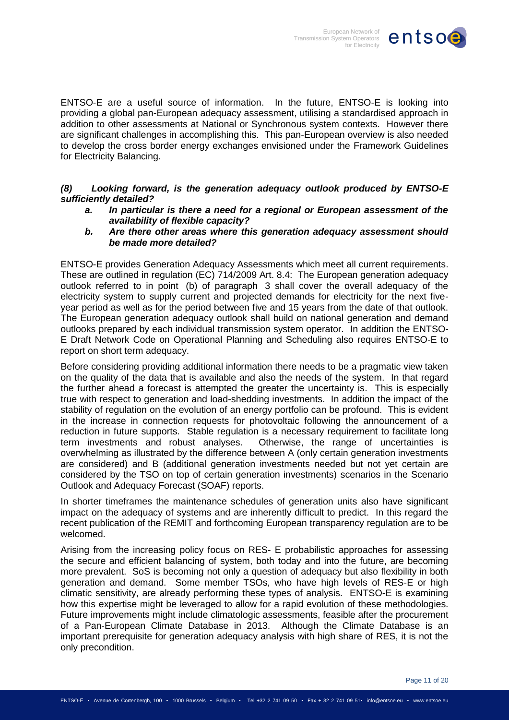

ENTSO-E are a useful source of information. In the future, ENTSO-E is looking into providing a global pan-European adequacy assessment, utilising a standardised approach in addition to other assessments at National or Synchronous system contexts. However there are significant challenges in accomplishing this. This pan-European overview is also needed to develop the cross border energy exchanges envisioned under the Framework Guidelines for Electricity Balancing.

# *(8) Looking forward, is the generation adequacy outlook produced by ENTSO-E sufficiently detailed?*

- *a. In particular is there a need for a regional or European assessment of the availability of flexible capacity?*
- *b. Are there other areas where this generation adequacy assessment should be made more detailed?*

ENTSO-E provides Generation Adequacy Assessments which meet all current requirements. These are outlined in regulation (EC) 714/2009 Art. 8.4: The European generation adequacy outlook referred to in point (b) of paragraph 3 shall cover the overall adequacy of the electricity system to supply current and projected demands for electricity for the next fiveyear period as well as for the period between five and 15 years from the date of that outlook. The European generation adequacy outlook shall build on national generation and demand outlooks prepared by each individual transmission system operator. In addition the ENTSO-E Draft Network Code on Operational Planning and Scheduling also requires ENTSO-E to report on short term adequacy.

Before considering providing additional information there needs to be a pragmatic view taken on the quality of the data that is available and also the needs of the system. In that regard the further ahead a forecast is attempted the greater the uncertainty is. This is especially true with respect to generation and load-shedding investments. In addition the impact of the stability of regulation on the evolution of an energy portfolio can be profound. This is evident in the increase in connection requests for photovoltaic following the announcement of a reduction in future supports. Stable regulation is a necessary requirement to facilitate long term investments and robust analyses. Otherwise, the range of uncertainties is overwhelming as illustrated by the difference between A (only certain generation investments are considered) and B (additional generation investments needed but not yet certain are considered by the TSO on top of certain generation investments) scenarios in the Scenario Outlook and Adequacy Forecast (SOAF) reports.

In shorter timeframes the maintenance schedules of generation units also have significant impact on the adequacy of systems and are inherently difficult to predict. In this regard the recent publication of the REMIT and forthcoming European transparency regulation are to be welcomed.

Arising from the increasing policy focus on RES- E probabilistic approaches for assessing the secure and efficient balancing of system, both today and into the future, are becoming more prevalent. SoS is becoming not only a question of adequacy but also flexibility in both generation and demand. Some member TSOs, who have high levels of RES-E or high climatic sensitivity, are already performing these types of analysis. ENTSO-E is examining how this expertise might be leveraged to allow for a rapid evolution of these methodologies. Future improvements might include climatologic assessments, feasible after the procurement of a Pan-European Climate Database in 2013. Although the Climate Database is an important prerequisite for generation adequacy analysis with high share of RES, it is not the only precondition.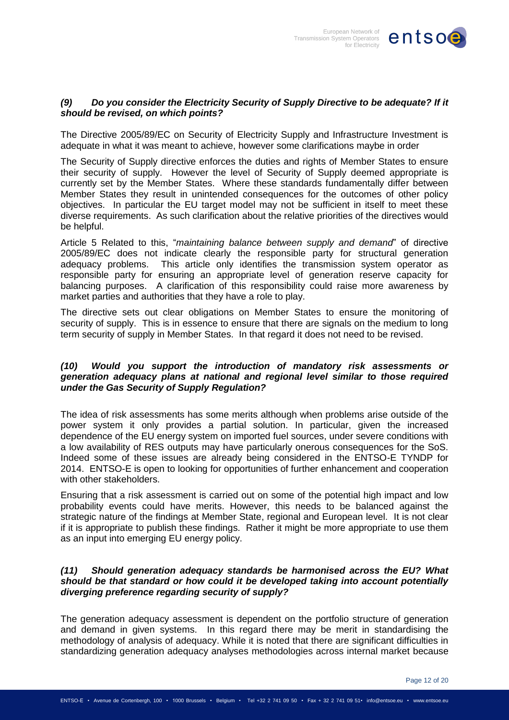

# *(9) Do you consider the Electricity Security of Supply Directive to be adequate? If it should be revised, on which points?*

The Directive 2005/89/EC on Security of Electricity Supply and Infrastructure Investment is adequate in what it was meant to achieve, however some clarifications maybe in order

The Security of Supply directive enforces the duties and rights of Member States to ensure their security of supply. However the level of Security of Supply deemed appropriate is currently set by the Member States. Where these standards fundamentally differ between Member States they result in unintended consequences for the outcomes of other policy objectives. In particular the EU target model may not be sufficient in itself to meet these diverse requirements. As such clarification about the relative priorities of the directives would be helpful.

Article 5 Related to this, "*maintaining balance between supply and demand*" of directive 2005/89/EC does not indicate clearly the responsible party for structural generation adequacy problems. This article only identifies the transmission system operator as responsible party for ensuring an appropriate level of generation reserve capacity for balancing purposes. A clarification of this responsibility could raise more awareness by market parties and authorities that they have a role to play.

The directive sets out clear obligations on Member States to ensure the monitoring of security of supply. This is in essence to ensure that there are signals on the medium to long term security of supply in Member States. In that regard it does not need to be revised.

## *(10) Would you support the introduction of mandatory risk assessments or generation adequacy plans at national and regional level similar to those required under the Gas Security of Supply Regulation?*

The idea of risk assessments has some merits although when problems arise outside of the power system it only provides a partial solution. In particular, given the increased dependence of the EU energy system on imported fuel sources, under severe conditions with a low availability of RES outputs may have particularly onerous consequences for the SoS. Indeed some of these issues are already being considered in the ENTSO-E TYNDP for 2014. ENTSO-E is open to looking for opportunities of further enhancement and cooperation with other stakeholders.

Ensuring that a risk assessment is carried out on some of the potential high impact and low probability events could have merits. However, this needs to be balanced against the strategic nature of the findings at Member State, regional and European level. It is not clear if it is appropriate to publish these findings. Rather it might be more appropriate to use them as an input into emerging EU energy policy.

# *(11) Should generation adequacy standards be harmonised across the EU? What should be that standard or how could it be developed taking into account potentially diverging preference regarding security of supply?*

The generation adequacy assessment is dependent on the portfolio structure of generation and demand in given systems. In this regard there may be merit in standardising the methodology of analysis of adequacy. While it is noted that there are significant difficulties in standardizing generation adequacy analyses methodologies across internal market because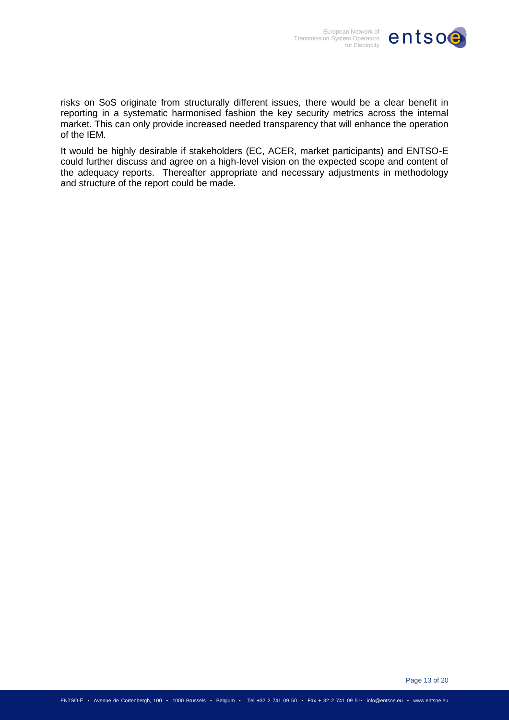

risks on SoS originate from structurally different issues, there would be a clear benefit in reporting in a systematic harmonised fashion the key security metrics across the internal market. This can only provide increased needed transparency that will enhance the operation of the IEM.

It would be highly desirable if stakeholders (EC, ACER, market participants) and ENTSO-E could further discuss and agree on a high-level vision on the expected scope and content of the adequacy reports. Thereafter appropriate and necessary adjustments in methodology and structure of the report could be made.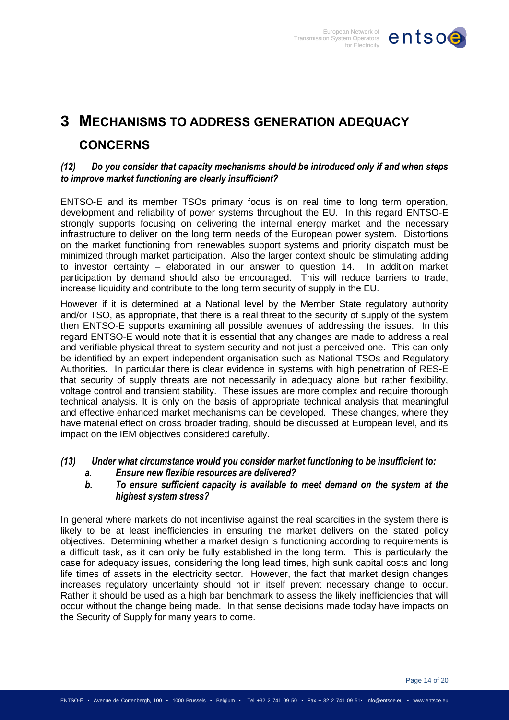

# <span id="page-13-0"></span>**3 MECHANISMS TO ADDRESS GENERATION ADEQUACY CONCERNS**

# *(12) Do you consider that capacity mechanisms should be introduced only if and when steps to improve market functioning are clearly insufficient?*

ENTSO-E and its member TSOs primary focus is on real time to long term operation, development and reliability of power systems throughout the EU. In this regard ENTSO-E strongly supports focusing on delivering the internal energy market and the necessary infrastructure to deliver on the long term needs of the European power system. Distortions on the market functioning from renewables support systems and priority dispatch must be minimized through market participation. Also the larger context should be stimulating adding to investor certainty – elaborated in our answer to question 14. In addition market participation by demand should also be encouraged. This will reduce barriers to trade, increase liquidity and contribute to the long term security of supply in the EU.

However if it is determined at a National level by the Member State regulatory authority and/or TSO, as appropriate, that there is a real threat to the security of supply of the system then ENTSO-E supports examining all possible avenues of addressing the issues. In this regard ENTSO-E would note that it is essential that any changes are made to address a real and verifiable physical threat to system security and not just a perceived one. This can only be identified by an expert independent organisation such as National TSOs and Regulatory Authorities. In particular there is clear evidence in systems with high penetration of RES-E that security of supply threats are not necessarily in adequacy alone but rather flexibility, voltage control and transient stability. These issues are more complex and require thorough technical analysis. It is only on the basis of appropriate technical analysis that meaningful and effective enhanced market mechanisms can be developed. These changes, where they have material effect on cross broader trading, should be discussed at European level, and its impact on the IEM objectives considered carefully.

# *(13) Under what circumstance would you consider market functioning to be insufficient to:*

*a. Ensure new flexible resources are delivered?*

# *b. To ensure sufficient capacity is available to meet demand on the system at the highest system stress?*

In general where markets do not incentivise against the real scarcities in the system there is likely to be at least inefficiencies in ensuring the market delivers on the stated policy objectives. Determining whether a market design is functioning according to requirements is a difficult task, as it can only be fully established in the long term. This is particularly the case for adequacy issues, considering the long lead times, high sunk capital costs and long life times of assets in the electricity sector. However, the fact that market design changes increases regulatory uncertainty should not in itself prevent necessary change to occur. Rather it should be used as a high bar benchmark to assess the likely inefficiencies that will occur without the change being made. In that sense decisions made today have impacts on the Security of Supply for many years to come.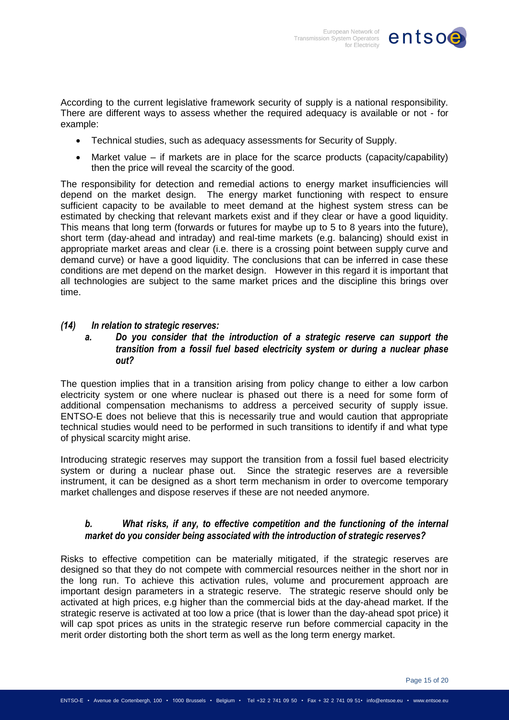

According to the current legislative framework security of supply is a national responsibility. There are different ways to assess whether the required adequacy is available or not - for example:

- Technical studies, such as adequacy assessments for Security of Supply.
- Market value if markets are in place for the scarce products (capacity/capability) then the price will reveal the scarcity of the good.

The responsibility for detection and remedial actions to energy market insufficiencies will depend on the market design. The energy market functioning with respect to ensure sufficient capacity to be available to meet demand at the highest system stress can be estimated by checking that relevant markets exist and if they clear or have a good liquidity. This means that long term (forwards or futures for maybe up to 5 to 8 years into the future), short term (day-ahead and intraday) and real-time markets (e.g. balancing) should exist in appropriate market areas and clear (i.e. there is a crossing point between supply curve and demand curve) or have a good liquidity. The conclusions that can be inferred in case these conditions are met depend on the market design. However in this regard it is important that all technologies are subject to the same market prices and the discipline this brings over time.

## *(14) In relation to strategic reserves:*

# *a. Do you consider that the introduction of a strategic reserve can support the transition from a fossil fuel based electricity system or during a nuclear phase out?*

The question implies that in a transition arising from policy change to either a low carbon electricity system or one where nuclear is phased out there is a need for some form of additional compensation mechanisms to address a perceived security of supply issue. ENTSO-E does not believe that this is necessarily true and would caution that appropriate technical studies would need to be performed in such transitions to identify if and what type of physical scarcity might arise.

Introducing strategic reserves may support the transition from a fossil fuel based electricity system or during a nuclear phase out. Since the strategic reserves are a reversible instrument, it can be designed as a short term mechanism in order to overcome temporary market challenges and dispose reserves if these are not needed anymore.

# *b. What risks, if any, to effective competition and the functioning of the internal market do you consider being associated with the introduction of strategic reserves?*

Risks to effective competition can be materially mitigated, if the strategic reserves are designed so that they do not compete with commercial resources neither in the short nor in the long run. To achieve this activation rules, volume and procurement approach are important design parameters in a strategic reserve. The strategic reserve should only be activated at high prices, e.g higher than the commercial bids at the day-ahead market. If the strategic reserve is activated at too low a price (that is lower than the day-ahead spot price) it will cap spot prices as units in the strategic reserve run before commercial capacity in the merit order distorting both the short term as well as the long term energy market.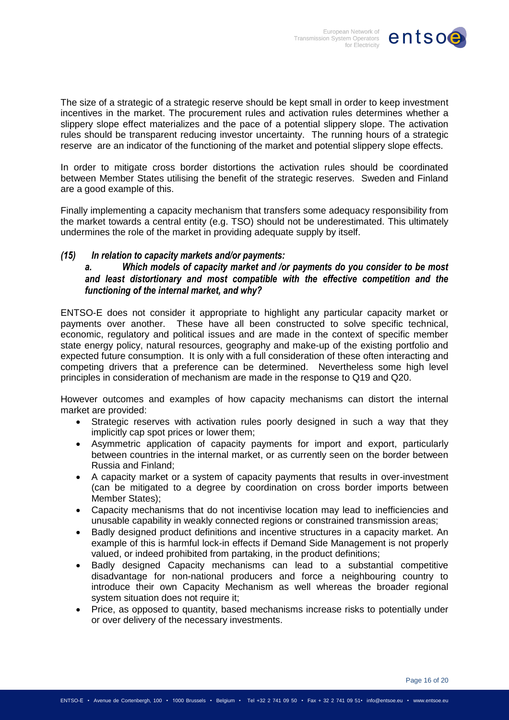

The size of a strategic of a strategic reserve should be kept small in order to keep investment incentives in the market. The procurement rules and activation rules determines whether a slippery slope effect materializes and the pace of a potential slippery slope. The activation rules should be transparent reducing investor uncertainty. The running hours of a strategic reserve are an indicator of the functioning of the market and potential slippery slope effects.

In order to mitigate cross border distortions the activation rules should be coordinated between Member States utilising the benefit of the strategic reserves. Sweden and Finland are a good example of this.

Finally implementing a capacity mechanism that transfers some adequacy responsibility from the market towards a central entity (e.g. TSO) should not be underestimated. This ultimately undermines the role of the market in providing adequate supply by itself.

# *(15) In relation to capacity markets and/or payments:*

*a. Which models of capacity market and /or payments do you consider to be most and least distortionary and most compatible with the effective competition and the functioning of the internal market, and why?*

ENTSO-E does not consider it appropriate to highlight any particular capacity market or payments over another. These have all been constructed to solve specific technical, economic, regulatory and political issues and are made in the context of specific member state energy policy, natural resources, geography and make-up of the existing portfolio and expected future consumption. It is only with a full consideration of these often interacting and competing drivers that a preference can be determined. Nevertheless some high level principles in consideration of mechanism are made in the response to Q19 and Q20.

However outcomes and examples of how capacity mechanisms can distort the internal market are provided:

- Strategic reserves with activation rules poorly designed in such a way that they implicitly cap spot prices or lower them;
- Asymmetric application of capacity payments for import and export, particularly between countries in the internal market, or as currently seen on the border between Russia and Finland;
- A capacity market or a system of capacity payments that results in over-investment (can be mitigated to a degree by coordination on cross border imports between Member States);
- Capacity mechanisms that do not incentivise location may lead to inefficiencies and unusable capability in weakly connected regions or constrained transmission areas;
- Badly designed product definitions and incentive structures in a capacity market. An example of this is harmful lock-in effects if Demand Side Management is not properly valued, or indeed prohibited from partaking, in the product definitions;
- Badly designed Capacity mechanisms can lead to a substantial competitive disadvantage for non-national producers and force a neighbouring country to introduce their own Capacity Mechanism as well whereas the broader regional system situation does not require it;
- Price, as opposed to quantity, based mechanisms increase risks to potentially under or over delivery of the necessary investments.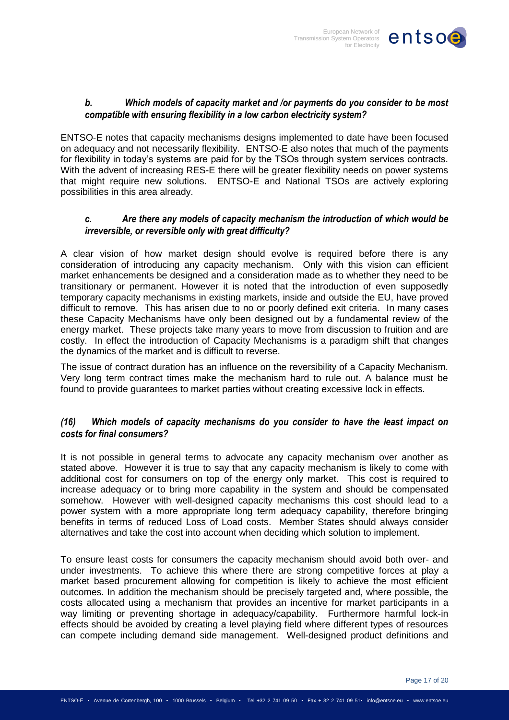

# *b. Which models of capacity market and /or payments do you consider to be most compatible with ensuring flexibility in a low carbon electricity system?*

ENTSO-E notes that capacity mechanisms designs implemented to date have been focused on adequacy and not necessarily flexibility. ENTSO-E also notes that much of the payments for flexibility in today's systems are paid for by the TSOs through system services contracts. With the advent of increasing RES-E there will be greater flexibility needs on power systems that might require new solutions. ENTSO-E and National TSOs are actively exploring possibilities in this area already.

# *c. Are there any models of capacity mechanism the introduction of which would be irreversible, or reversible only with great difficulty?*

A clear vision of how market design should evolve is required before there is any consideration of introducing any capacity mechanism. Only with this vision can efficient market enhancements be designed and a consideration made as to whether they need to be transitionary or permanent. However it is noted that the introduction of even supposedly temporary capacity mechanisms in existing markets, inside and outside the EU, have proved difficult to remove. This has arisen due to no or poorly defined exit criteria. In many cases these Capacity Mechanisms have only been designed out by a fundamental review of the energy market. These projects take many years to move from discussion to fruition and are costly. In effect the introduction of Capacity Mechanisms is a paradigm shift that changes the dynamics of the market and is difficult to reverse.

The issue of contract duration has an influence on the reversibility of a Capacity Mechanism. Very long term contract times make the mechanism hard to rule out. A balance must be found to provide guarantees to market parties without creating excessive lock in effects.

# *(16) Which models of capacity mechanisms do you consider to have the least impact on costs for final consumers?*

It is not possible in general terms to advocate any capacity mechanism over another as stated above. However it is true to say that any capacity mechanism is likely to come with additional cost for consumers on top of the energy only market. This cost is required to increase adequacy or to bring more capability in the system and should be compensated somehow. However with well-designed capacity mechanisms this cost should lead to a power system with a more appropriate long term adequacy capability, therefore bringing benefits in terms of reduced Loss of Load costs. Member States should always consider alternatives and take the cost into account when deciding which solution to implement.

To ensure least costs for consumers the capacity mechanism should avoid both over- and under investments. To achieve this where there are strong competitive forces at play a market based procurement allowing for competition is likely to achieve the most efficient outcomes. In addition the mechanism should be precisely targeted and, where possible, the costs allocated using a mechanism that provides an incentive for market participants in a way limiting or preventing shortage in adequacy/capability. Furthermore harmful lock-in effects should be avoided by creating a level playing field where different types of resources can compete including demand side management. Well-designed product definitions and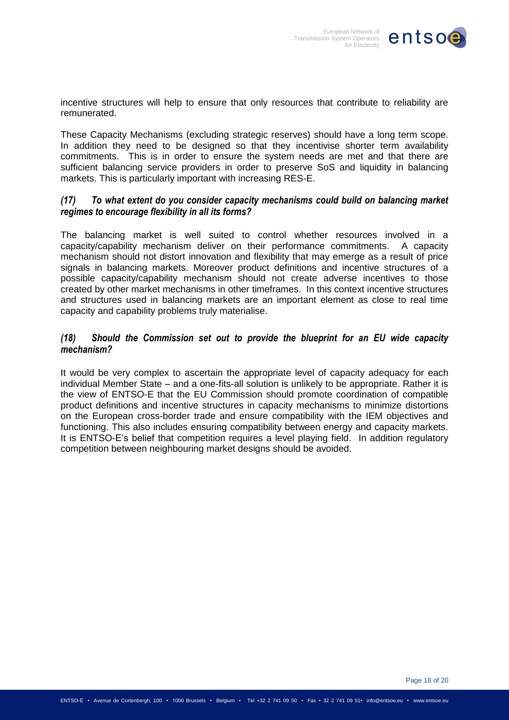

incentive structures will help to ensure that only resources that contribute to reliability are remunerated.

These Capacity Mechanisms (excluding strategic reserves) should have a long term scope. In addition they need to be designed so that they incentivise shorter term availability commitments. This is in order to ensure the system needs are met and that there are sufficient balancing service providers in order to preserve SoS and liquidity in balancing markets. This is particularly important with increasing RES-E.

# *(17) To what extent do you consider capacity mechanisms could build on balancing market regimes to encourage flexibility in all its forms?*

The balancing market is well suited to control whether resources involved in a capacity/capability mechanism deliver on their performance commitments. A capacity mechanism should not distort innovation and flexibility that may emerge as a result of price signals in balancing markets. Moreover product definitions and incentive structures of a possible capacity/capability mechanism should not create adverse incentives to those created by other market mechanisms in other timeframes. In this context incentive structures and structures used in balancing markets are an important element as close to real time capacity and capability problems truly materialise.

# *(18) Should the Commission set out to provide the blueprint for an EU wide capacity mechanism?*

It would be very complex to ascertain the appropriate level of capacity adequacy for each individual Member State – and a one-fits-all solution is unlikely to be appropriate. Rather it is the view of ENTSO-E that the EU Commission should promote coordination of compatible product definitions and incentive structures in capacity mechanisms to minimize distortions on the European cross-border trade and ensure compatibility with the IEM objectives and functioning. This also includes ensuring compatibility between energy and capacity markets. It is ENTSO-E's belief that competition requires a level playing field. In addition regulatory competition between neighbouring market designs should be avoided.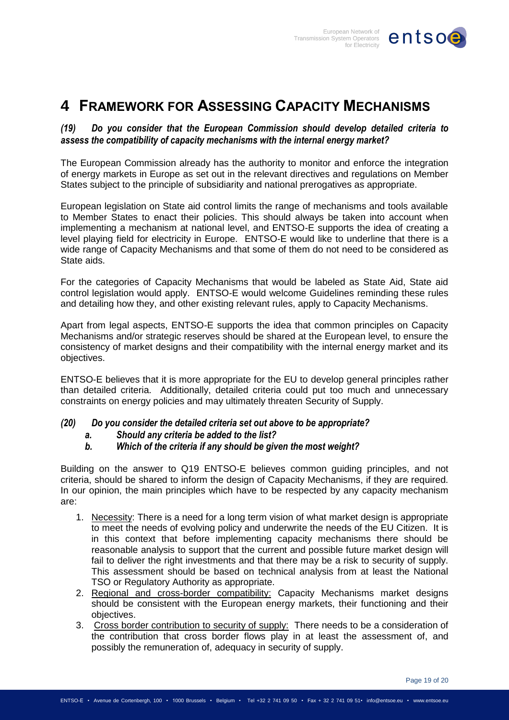

# <span id="page-18-0"></span>**4 FRAMEWORK FOR ASSESSING CAPACITY MECHANISMS**

# *(19) Do you consider that the European Commission should develop detailed criteria to assess the compatibility of capacity mechanisms with the internal energy market?*

The European Commission already has the authority to monitor and enforce the integration of energy markets in Europe as set out in the relevant directives and regulations on Member States subject to the principle of subsidiarity and national prerogatives as appropriate.

European legislation on State aid control limits the range of mechanisms and tools available to Member States to enact their policies. This should always be taken into account when implementing a mechanism at national level, and ENTSO-E supports the idea of creating a level playing field for electricity in Europe. ENTSO-E would like to underline that there is a wide range of Capacity Mechanisms and that some of them do not need to be considered as State aids.

For the categories of Capacity Mechanisms that would be labeled as State Aid, State aid control legislation would apply. ENTSO-E would welcome Guidelines reminding these rules and detailing how they, and other existing relevant rules, apply to Capacity Mechanisms.

Apart from legal aspects, ENTSO-E supports the idea that common principles on Capacity Mechanisms and/or strategic reserves should be shared at the European level, to ensure the consistency of market designs and their compatibility with the internal energy market and its objectives.

ENTSO-E believes that it is more appropriate for the EU to develop general principles rather than detailed criteria. Additionally, detailed criteria could put too much and unnecessary constraints on energy policies and may ultimately threaten Security of Supply.

# *(20) Do you consider the detailed criteria set out above to be appropriate?*

# *a. Should any criteria be added to the list?*

# *b. Which of the criteria if any should be given the most weight?*

Building on the answer to Q19 ENTSO-E believes common guiding principles, and not criteria, should be shared to inform the design of Capacity Mechanisms, if they are required. In our opinion, the main principles which have to be respected by any capacity mechanism are:

- 1. Necessity: There is a need for a long term vision of what market design is appropriate to meet the needs of evolving policy and underwrite the needs of the EU Citizen. It is in this context that before implementing capacity mechanisms there should be reasonable analysis to support that the current and possible future market design will fail to deliver the right investments and that there may be a risk to security of supply. This assessment should be based on technical analysis from at least the National TSO or Regulatory Authority as appropriate.
- 2. Regional and cross-border compatibility: Capacity Mechanisms market designs should be consistent with the European energy markets, their functioning and their objectives.
- 3. Cross border contribution to security of supply: There needs to be a consideration of the contribution that cross border flows play in at least the assessment of, and possibly the remuneration of, adequacy in security of supply.